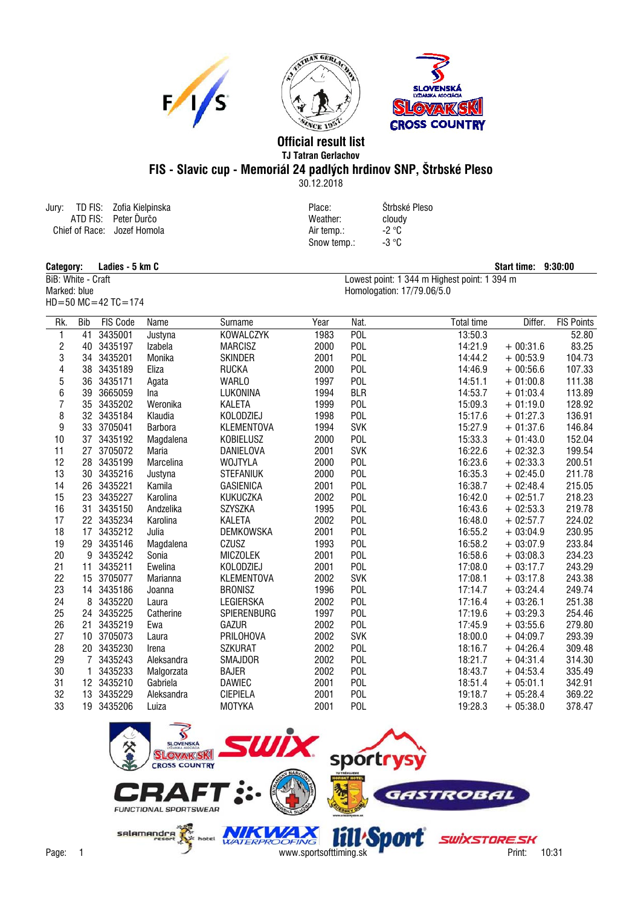





## **Official result list TJ Tatran Gerlachov FIS - Slavic cup - Memoriál 24 padlých hrdinov SNP, Štrbské Pleso**

30.12.2018

Jury: TD FIS: Zofia Kielpinska Place: Štrbské Pleso ATD FIS: Peter Ïurèo Weather: cloudy Chief of Race: Air temp.: -2 °C Jozef Homola Snow temp.: -3 °C

Category: Ladies - 5 km C<br>BiB: White - Craft **Start time: 9:30:00**<br>BiB: White - Craft **Start in Channel Start Act Craft** Start Act Act Act Start Act Start Act Start Act Start Act Start Act Start Act Start Act Start Act Sta BiB: White - Craft Lowest point: 1 344 m Highest point: 1 394 m<br>Marked: blue Homologation: 17/79.06/5.0 Homologation: 17/79.06/5.0

| Rk.            | Bib | <b>FIS Code</b> | Name           | Surname          | Year | Nat.       | <b>Total time</b> | Differ.    | <b>FIS Points</b> |
|----------------|-----|-----------------|----------------|------------------|------|------------|-------------------|------------|-------------------|
| 1              | 41  | 3435001         | Justyna        | KOWALCZYK        | 1983 | <b>POL</b> | 13:50.3           |            | 52.80             |
| 2              |     | 40 3435197      | Izabela        | <b>MARCISZ</b>   | 2000 | <b>POL</b> | 14:21.9           | $+00:31.6$ | 83.25             |
| 3              |     | 34 3435201      | Monika         | <b>SKINDER</b>   | 2001 | POL        | 14:44.2           | $+00:53.9$ | 104.73            |
| 4              | 38  | 3435189         | Eliza          | <b>RUCKA</b>     | 2000 | <b>POL</b> | 14:46.9           | $+00:56.6$ | 107.33            |
| 5              |     | 36 3435171      | Agata          | <b>WARLO</b>     | 1997 | <b>POL</b> | 14:51.1           | $+01:00.8$ | 111.38            |
| $6\phantom{1}$ |     | 39 3665059      | Ina            | LUKONINA         | 1994 | <b>BLR</b> | 14:53.7           | $+01:03.4$ | 113.89            |
|                |     | 35 3435202      | Weronika       | <b>KALETA</b>    | 1999 | POL        | 15:09.3           | $+01:19.0$ | 128.92            |
| 8              |     | 32 3435184      | Klaudia        | <b>KOLODZIEJ</b> | 1998 | POL        | 15:17.6           | $+01:27.3$ | 136.91            |
| 9              |     | 33 3705041      | <b>Barbora</b> | KLEMENTOVA       | 1994 | <b>SVK</b> | 15:27.9           | $+01:37.6$ | 146.84            |
| 10             |     | 37 3435192      | Magdalena      | <b>KOBIELUSZ</b> | 2000 | <b>POL</b> | 15:33.3           | $+01:43.0$ | 152.04            |
| 11             |     | 27 3705072      | Maria          | DANIELOVA        | 2001 | <b>SVK</b> | 16:22.6           | $+02:32.3$ | 199.54            |
| 12             |     | 28 3435199      | Marcelina      | <b>WOJTYLA</b>   | 2000 | POL        | 16:23.6           | $+02:33.3$ | 200.51            |
| 13             |     | 30 3435216      | Justyna        | <b>STEFANIUK</b> | 2000 | POL        | 16:35.3           | $+02:45.0$ | 211.78            |
| 14             | 26  | 3435221         | Kamila         | <b>GASIENICA</b> | 2001 | <b>POL</b> | 16:38.7           | $+02:48.4$ | 215.05            |
| 15             |     | 23 3435227      | Karolina       | <b>KUKUCZKA</b>  | 2002 | <b>POL</b> | 16:42.0           | $+02:51.7$ | 218.23            |
| 16             | 31  | 3435150         | Andzelika      | <b>SZYSZKA</b>   | 1995 | <b>POL</b> | 16:43.6           | $+02:53.3$ | 219.78            |
| 17             |     | 22 3435234      | Karolina       | KALETA           | 2002 | POL        | 16:48.0           | $+02:57.7$ | 224.02            |
| 18             |     | 17 3435212      | Julia          | <b>DEMKOWSKA</b> | 2001 | POL        | 16:55.2           | $+03:04.9$ | 230.95            |
| 19             |     | 29 3435146      | Magdalena      | CZUSZ            | 1993 | <b>POL</b> | 16:58.2           | $+03:07.9$ | 233.84            |
| 20             |     | 9 3435242       | Sonia          | <b>MICZOLEK</b>  | 2001 | <b>POL</b> | 16:58.6           | $+03:08.3$ | 234.23            |
| 21             | 11  | 3435211         | Ewelina        | KOLODZIEJ        | 2001 | <b>POL</b> | 17:08.0           | $+03:17.7$ | 243.29            |
| 22             |     | 15 3705077      | Marianna       | KLEMENTOVA       | 2002 | <b>SVK</b> | 17:08.1           | $+03:17.8$ | 243.38            |
| 23             | 14  | 3435186         | Joanna         | <b>BRONISZ</b>   | 1996 | POL        | 17:14.7           | $+03:24.4$ | 249.74            |
| 24             | 8   | 3435220         | Laura          | LEGIERSKA        | 2002 | <b>POL</b> | 17:16.4           | $+03:26.1$ | 251.38            |
| 25             | 24  | 3435225         | Catherine      | SPIERENBURG      | 1997 | <b>POL</b> | 17:19.6           | $+03:29.3$ | 254.46            |
| 26             | 21  | 3435219         | Ewa            | <b>GAZUR</b>     | 2002 | <b>POL</b> | 17:45.9           | $+03:55.6$ | 279.80            |
| 27             |     | 10 3705073      | Laura          | PRILOHOVA        | 2002 | <b>SVK</b> | 18:00.0           | $+04:09.7$ | 293.39            |
| 28             |     | 20 3435230      | Irena          | <b>SZKURAT</b>   | 2002 | POL        | 18:16.7           | $+04:26.4$ | 309.48            |
| 29             | 7   | 3435243         | Aleksandra     | SMAJDOR          | 2002 | <b>POL</b> | 18:21.7           | $+04:31.4$ | 314.30            |
| 30             |     | 3435233         | Malgorzata     | <b>BAJER</b>     | 2002 | <b>POL</b> | 18:43.7           | $+04:53.4$ | 335.49            |
| 31             |     | 12 3435210      | Gabriela       | DAWIEC           | 2001 | <b>POL</b> | 18:51.4           | $+05:01.1$ | 342.91            |
| 32             | 13  | 3435229         | Aleksandra     | <b>CIEPIELA</b>  | 2001 | POL        | 19:18.7           | $+05:28.4$ | 369.22            |
| 33             |     | 19 3435206      | Luiza          | <b>MOTYKA</b>    | 2001 | <b>POL</b> | 19:28.3           | $+05:38.0$ | 378.47            |



 $HD = 50$  MC = 42 TC = 174